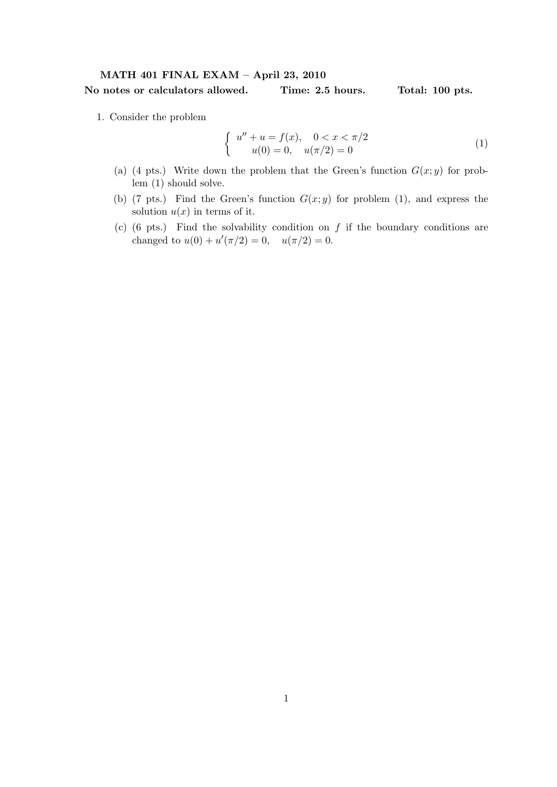## MATH 401 FINAL EXAM – April 23, 2010 No notes or calculators allowed. Time: 2.5 hours. Total: 100 pts.

1. Consider the problem

$$
\begin{cases}\n u'' + u = f(x), & 0 < x < \pi/2 \\
 u(0) = 0, & u(\pi/2) = 0\n\end{cases} \tag{1}
$$

- (a) (4 pts.) Write down the problem that the Green's function  $G(x; y)$  for problem (1) should solve.
- (b) (7 pts.) Find the Green's function  $G(x; y)$  for problem (1), and express the solution  $u(x)$  in terms of it.
- (c) (6 pts.) Find the solvability condition on  $f$  if the boundary conditions are changed to  $u(0) + u'(\pi/2) = 0$ ,  $u(\pi/2) = 0$ .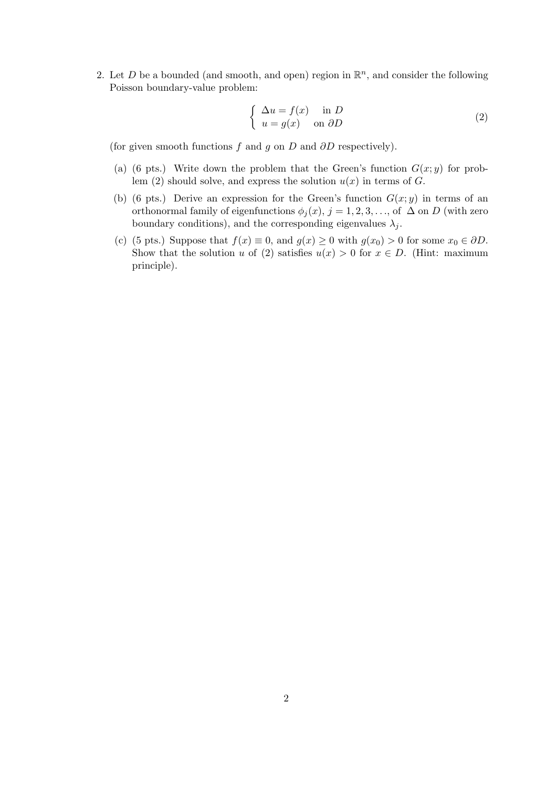2. Let D be a bounded (and smooth, and open) region in  $\mathbb{R}^n$ , and consider the following Poisson boundary-value problem:

$$
\begin{cases} \Delta u = f(x) & \text{in } D \\ u = g(x) & \text{on } \partial D \end{cases}
$$
 (2)

(for given smooth functions  $f$  and  $g$  on  $D$  and  $\partial D$  respectively).

- (a) (6 pts.) Write down the problem that the Green's function  $G(x; y)$  for problem (2) should solve, and express the solution  $u(x)$  in terms of G.
- (b) (6 pts.) Derive an expression for the Green's function  $G(x; y)$  in terms of an orthonormal family of eigenfunctions  $\phi_j(x)$ ,  $j = 1, 2, 3, \ldots$ , of  $\Delta$  on D (with zero boundary conditions), and the corresponding eigenvalues  $\lambda_i$ .
- (c) (5 pts.) Suppose that  $f(x) \equiv 0$ , and  $g(x) \ge 0$  with  $g(x_0) > 0$  for some  $x_0 \in \partial D$ . Show that the solution u of (2) satisfies  $u(x) > 0$  for  $x \in D$ . (Hint: maximum principle).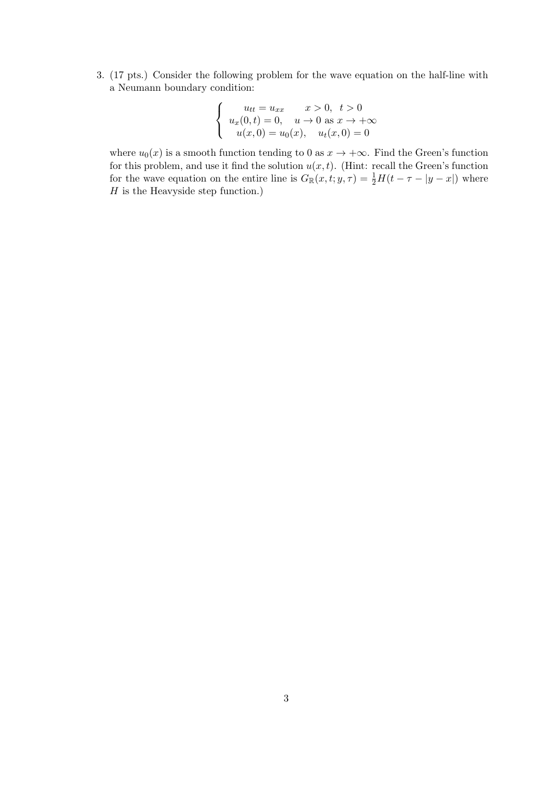3. (17 pts.) Consider the following problem for the wave equation on the half-line with a Neumann boundary condition:

$$
\begin{cases}\n u_{tt} = u_{xx} & x > 0, \ t > 0 \\
 u_x(0, t) = 0, \quad u \to 0 \text{ as } x \to +\infty \\
 u(x, 0) = u_0(x), \quad u_t(x, 0) = 0\n\end{cases}
$$

where  $u_0(x)$  is a smooth function tending to 0 as  $x \to +\infty$ . Find the Green's function for this problem, and use it find the solution  $u(x, t)$ . (Hint: recall the Green's function for the wave equation on the entire line is  $G_{\mathbb{R}}(x,t;y,\tau) = \frac{1}{2}H(t-\tau-|y-x|)$  where  $H$  is the Heavyside step function.)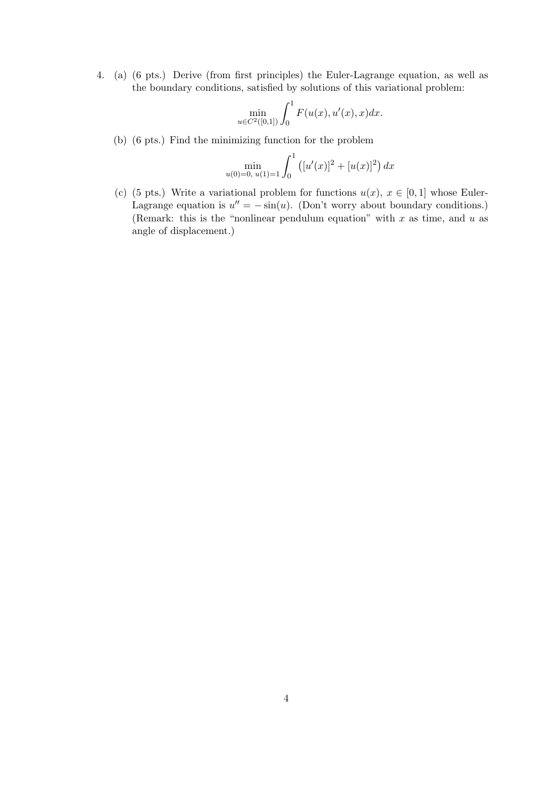4. (a) (6 pts.) Derive (from first principles) the Euler-Lagrange equation, as well as the boundary conditions, satisfied by solutions of this variational problem:

$$
\min_{u \in C^2([0,1])} \int_0^1 F(u(x), u'(x), x) dx.
$$

(b) (6 pts.) Find the minimizing function for the problem

$$
\min_{u(0)=0, u(1)=1} \int_0^1 \left( [u'(x)]^2 + [u(x)]^2 \right) dx
$$

(c) (5 pts.) Write a variational problem for functions  $u(x)$ ,  $x \in [0,1]$  whose Euler-Lagrange equation is  $u'' = -\sin(u)$ . (Don't worry about boundary conditions.) (Remark: this is the "nonlinear pendulum equation" with  $x$  as time, and  $u$  as angle of displacement.)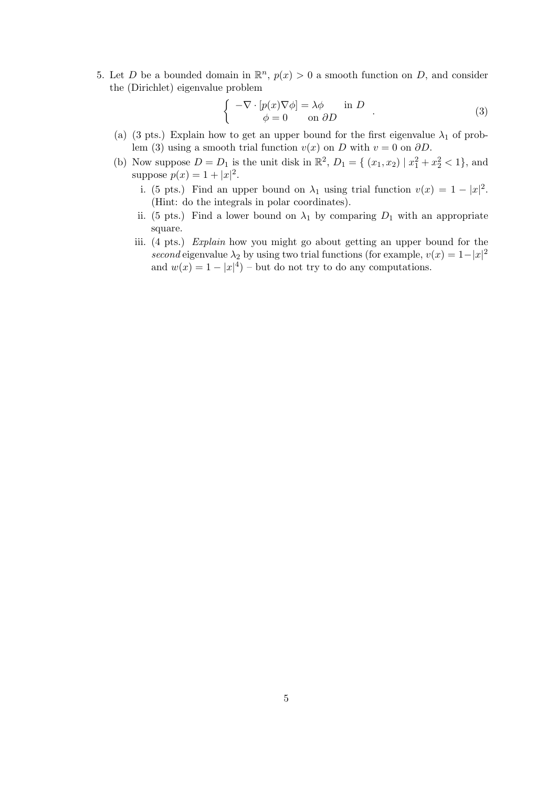5. Let D be a bounded domain in  $\mathbb{R}^n$ ,  $p(x) > 0$  a smooth function on D, and consider the (Dirichlet) eigenvalue problem

$$
\begin{cases}\n-\nabla \cdot [p(x)\nabla \phi] = \lambda \phi & \text{in } D \\
\phi = 0 & \text{on } \partial D\n\end{cases}.
$$
\n(3)

- (a) (3 pts.) Explain how to get an upper bound for the first eigenvalue  $\lambda_1$  of problem (3) using a smooth trial function  $v(x)$  on D with  $v = 0$  on  $\partial D$ .
- (b) Now suppose  $D = D_1$  is the unit disk in  $\mathbb{R}^2$ ,  $D_1 = \{ (x_1, x_2) | x_1^2 + x_2^2 < 1 \}$ , and suppose  $p(x) = 1 + |x|^2$ .
	- i. (5 pts.) Find an upper bound on  $\lambda_1$  using trial function  $v(x) = 1 |x|^2$ . (Hint: do the integrals in polar coordinates).
	- ii. (5 pts.) Find a lower bound on  $\lambda_1$  by comparing  $D_1$  with an appropriate square.
	- iii. (4 pts.) Explain how you might go about getting an upper bound for the second eigenvalue  $\lambda_2$  by using two trial functions (for example,  $v(x) = 1-|x|^2$ and  $w(x) = 1 - |x|^4$  – but do not try to do any computations.